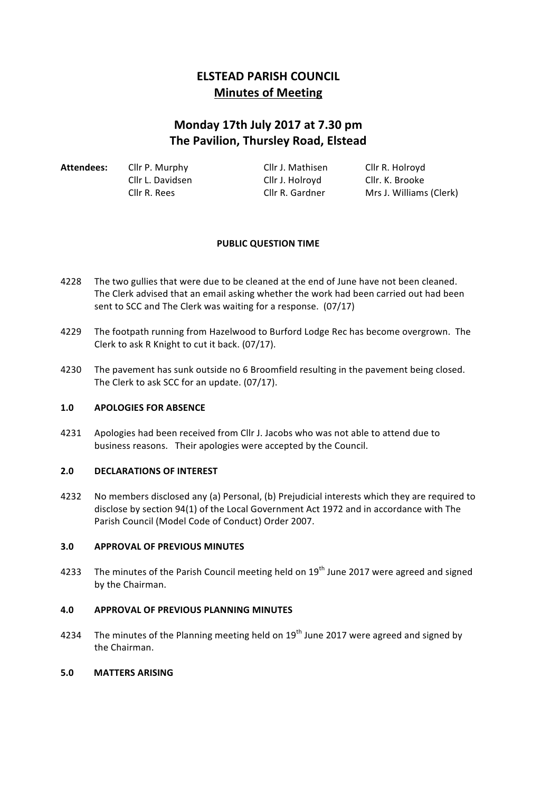# **ELSTEAD PARISH COUNCIL Minutes of Meeting**

# **Monday 17th July 2017 at 7.30 pm The Pavilion, Thursley Road, Elstead**

| Attendees: | Cllr P. Murphy   | Cllr J. Mathisen | Cllr R. Holroyd         |
|------------|------------------|------------------|-------------------------|
|            | Cllr L. Davidsen | Cllr J. Holrovd  | Cllr. K. Brooke         |
|            | Cllr R. Rees     | Cllr R. Gardner  | Mrs J. Williams (Clerk) |

# **PUBLIC QUESTION TIME**

- 4228 The two gullies that were due to be cleaned at the end of June have not been cleaned. The Clerk advised that an email asking whether the work had been carried out had been sent to SCC and The Clerk was waiting for a response. (07/17)
- 4229 The footpath running from Hazelwood to Burford Lodge Rec has become overgrown. The Clerk to ask R Knight to cut it back. (07/17).
- 4230 The pavement has sunk outside no 6 Broomfield resulting in the pavement being closed. The Clerk to ask SCC for an update. (07/17).

## **1.0 APOLOGIES FOR ABSENCE**

4231 Apologies had been received from Cllr J. Jacobs who was not able to attend due to business reasons. Their apologies were accepted by the Council.

## 2.0 **DECLARATIONS OF INTEREST**

4232 No members disclosed any (a) Personal, (b) Prejudicial interests which they are required to disclose by section 94(1) of the Local Government Act 1972 and in accordance with The Parish Council (Model Code of Conduct) Order 2007.

#### **3.0 APPROVAL OF PREVIOUS MINUTES**

4233 The minutes of the Parish Council meeting held on 19<sup>th</sup> June 2017 were agreed and signed by the Chairman.

## **4.0 APPROVAL OF PREVIOUS PLANNING MINUTES**

4234 The minutes of the Planning meeting held on  $19<sup>th</sup>$  June 2017 were agreed and signed by the Chairman.

#### **5.0 MATTERS ARISING**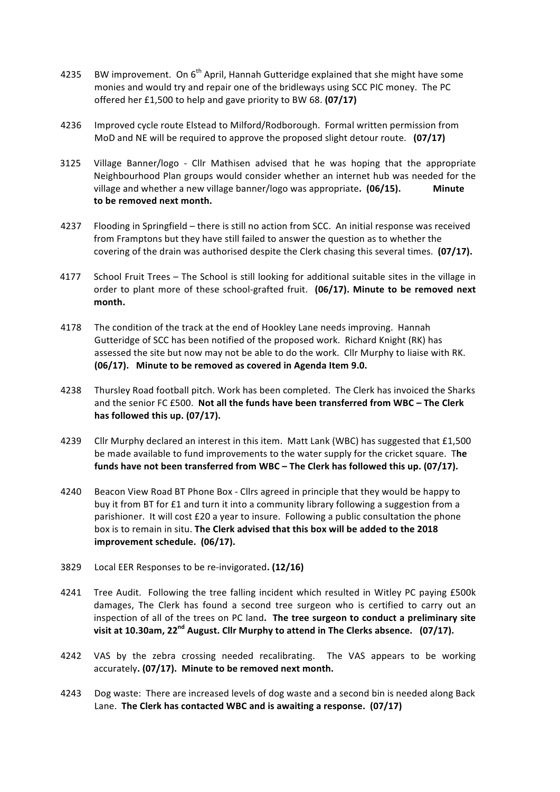- 4235 BW improvement. On  $6<sup>th</sup>$  April, Hannah Gutteridge explained that she might have some monies and would try and repair one of the bridleways using SCC PIC money. The PC offered her £1,500 to help and gave priority to BW 68. **(07/17)**
- 4236 Improved cycle route Elstead to Milford/Rodborough. Formal written permission from MoD and NE will be required to approve the proposed slight detour route. (07/17)
- 3125 Village Banner/logo Cllr Mathisen advised that he was hoping that the appropriate Neighbourhood Plan groups would consider whether an internet hub was needed for the village and whether a new village banner/logo was appropriate. **(06/15). Minute** to be removed next month.
- 4237 Flooding in Springfield there is still no action from SCC. An initial response was received from Framptons but they have still failed to answer the question as to whether the covering of the drain was authorised despite the Clerk chasing this several times. **(07/17).**
- 4177 School Fruit Trees The School is still looking for additional suitable sites in the village in order to plant more of these school-grafted fruit. (06/17). Minute to be removed next **month.**
- 4178 The condition of the track at the end of Hookley Lane needs improving. Hannah Gutteridge of SCC has been notified of the proposed work. Richard Knight (RK) has assessed the site but now may not be able to do the work. Cllr Murphy to liaise with RK. **(06/17).** Minute to be removed as covered in Agenda Item 9.0.
- 4238 Thursley Road football pitch. Work has been completed. The Clerk has invoiced the Sharks and the senior FC £500. Not all the funds have been transferred from WBC - The Clerk has **followed** this up. (07/17).
- 4239 Cllr Murphy declared an interest in this item. Matt Lank (WBC) has suggested that £1,500 be made available to fund improvements to the water supply for the cricket square. The funds have not been transferred from WBC – The Clerk has followed this up. (07/17).
- 4240 Beacon View Road BT Phone Box Cllrs agreed in principle that they would be happy to buy it from BT for £1 and turn it into a community library following a suggestion from a parishioner. It will cost  $£20$  a year to insure. Following a public consultation the phone box is to remain in situ. The Clerk advised that this box will be added to the 2018 **improvement schedule.** (06/17).
- 3829 Local EER Responses to be re-invigorated**. (12/16)**
- 4241 Tree Audit. Following the tree falling incident which resulted in Witley PC paying £500k damages, The Clerk has found a second tree surgeon who is certified to carry out an inspection of all of the trees on PC land. The tree surgeon to conduct a preliminary site visit at 10.30am, 22<sup>nd</sup> August. Cllr Murphy to attend in The Clerks absence. (07/17).
- 4242 VAS by the zebra crossing needed recalibrating. The VAS appears to be working accurately. (07/17). Minute to be removed next month.
- 4243 Dog waste: There are increased levels of dog waste and a second bin is needed along Back Lane. The Clerk has contacted WBC and is awaiting a response. (07/17)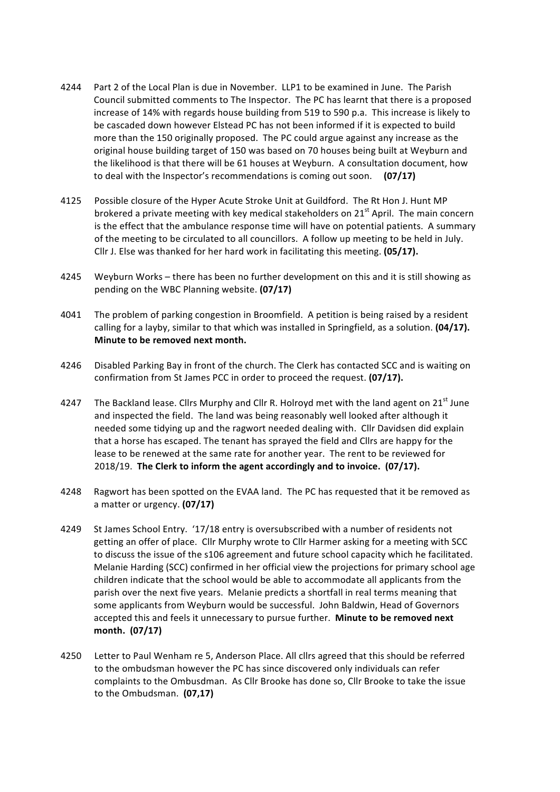- 4244 Part 2 of the Local Plan is due in November. LLP1 to be examined in June. The Parish Council submitted comments to The Inspector. The PC has learnt that there is a proposed increase of 14% with regards house building from 519 to 590 p.a. This increase is likely to be cascaded down however Elstead PC has not been informed if it is expected to build more than the 150 originally proposed. The PC could argue against any increase as the original house building target of 150 was based on 70 houses being built at Weyburn and the likelihood is that there will be 61 houses at Weyburn. A consultation document, how to deal with the Inspector's recommendations is coming out soon. **(07/17)**
- 4125 Possible closure of the Hyper Acute Stroke Unit at Guildford. The Rt Hon J. Hunt MP brokered a private meeting with key medical stakeholders on  $21^{st}$  April. The main concern is the effect that the ambulance response time will have on potential patients. A summary of the meeting to be circulated to all councillors. A follow up meeting to be held in July. Cllr J. Else was thanked for her hard work in facilitating this meeting. **(05/17).**
- 4245 Weyburn Works there has been no further development on this and it is still showing as pending on the WBC Planning website. **(07/17)**
- 4041 The problem of parking congestion in Broomfield. A petition is being raised by a resident calling for a layby, similar to that which was installed in Springfield, as a solution. **(04/17). Minute to be removed next month.**
- 4246 Disabled Parking Bay in front of the church. The Clerk has contacted SCC and is waiting on confirmation from St James PCC in order to proceed the request. (07/17).
- 4247 The Backland lease. Cllrs Murphy and Cllr R. Holroyd met with the land agent on  $21^{st}$  June and inspected the field. The land was being reasonably well looked after although it needed some tidying up and the ragwort needed dealing with. Cllr Davidsen did explain that a horse has escaped. The tenant has sprayed the field and Cllrs are happy for the lease to be renewed at the same rate for another year. The rent to be reviewed for 2018/19. The Clerk to inform the agent accordingly and to invoice. (07/17).
- 4248 Ragwort has been spotted on the EVAA land. The PC has requested that it be removed as a matter or urgency. (07/17)
- 4249 St James School Entry. '17/18 entry is oversubscribed with a number of residents not getting an offer of place. Cllr Murphy wrote to Cllr Harmer asking for a meeting with SCC to discuss the issue of the s106 agreement and future school capacity which he facilitated. Melanie Harding (SCC) confirmed in her official view the projections for primary school age children indicate that the school would be able to accommodate all applicants from the parish over the next five years. Melanie predicts a shortfall in real terms meaning that some applicants from Weyburn would be successful. John Baldwin, Head of Governors accepted this and feels it unnecessary to pursue further. **Minute to be removed next month. (07/17)**
- 4250 Letter to Paul Wenham re 5, Anderson Place. All clirs agreed that this should be referred to the ombudsman however the PC has since discovered only individuals can refer complaints to the Ombusdman. As Cllr Brooke has done so, Cllr Brooke to take the issue to the Ombudsman. (07,17)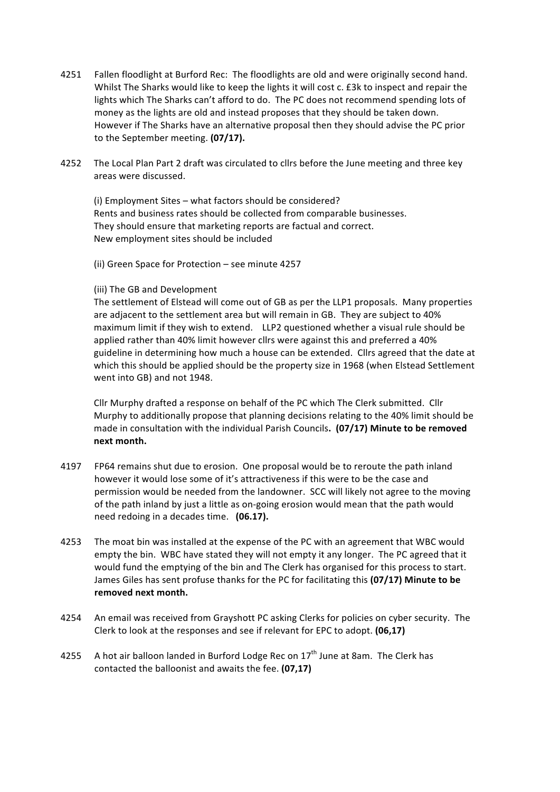- 4251 Fallen floodlight at Burford Rec: The floodlights are old and were originally second hand. Whilst The Sharks would like to keep the lights it will cost c. £3k to inspect and repair the lights which The Sharks can't afford to do. The PC does not recommend spending lots of money as the lights are old and instead proposes that they should be taken down. However if The Sharks have an alternative proposal then they should advise the PC prior to the September meeting. **(07/17).**
- 4252 The Local Plan Part 2 draft was circulated to cllrs before the June meeting and three key areas were discussed.

(i) Employment Sites – what factors should be considered? Rents and business rates should be collected from comparable businesses. They should ensure that marketing reports are factual and correct. New employment sites should be included

(ii) Green Space for Protection - see minute 4257

#### (iii) The GB and Development

The settlement of Elstead will come out of GB as per the LLP1 proposals. Many properties are adjacent to the settlement area but will remain in GB. They are subject to 40% maximum limit if they wish to extend. LLP2 questioned whether a visual rule should be applied rather than 40% limit however cllrs were against this and preferred a 40% guideline in determining how much a house can be extended. Cllrs agreed that the date at which this should be applied should be the property size in 1968 (when Elstead Settlement went into GB) and not 1948.

Cllr Murphy drafted a response on behalf of the PC which The Clerk submitted. Cllr Murphy to additionally propose that planning decisions relating to the 40% limit should be made in consultation with the individual Parish Councils. (07/17) Minute to be removed **next month.**

- 4197 FP64 remains shut due to erosion. One proposal would be to reroute the path inland however it would lose some of it's attractiveness if this were to be the case and permission would be needed from the landowner. SCC will likely not agree to the moving of the path inland by just a little as on-going erosion would mean that the path would need redoing in a decades time. **(06.17).**
- 4253 The moat bin was installed at the expense of the PC with an agreement that WBC would empty the bin. WBC have stated they will not empty it any longer. The PC agreed that it would fund the emptying of the bin and The Clerk has organised for this process to start. James Giles has sent profuse thanks for the PC for facilitating this (07/17) Minute to be removed next month.
- 4254 An email was received from Grayshott PC asking Clerks for policies on cyber security. The Clerk to look at the responses and see if relevant for EPC to adopt. **(06,17)**
- 4255 A hot air balloon landed in Burford Lodge Rec on  $17<sup>th</sup>$  June at 8am. The Clerk has contacted the balloonist and awaits the fee. (07,17)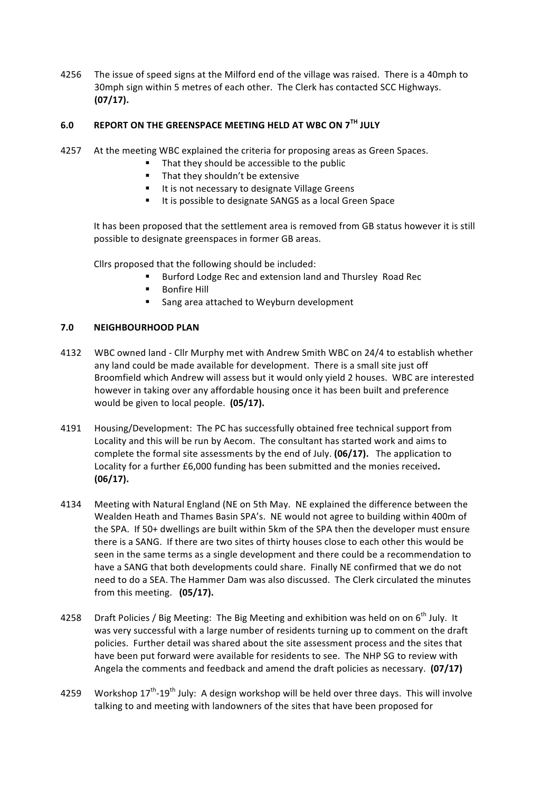4256 The issue of speed signs at the Milford end of the village was raised. There is a 40mph to 30mph sign within 5 metres of each other. The Clerk has contacted SCC Highways. **(07/17).**

# **6.0 REPORT ON THE GREENSPACE MEETING HELD AT WBC ON 7TH JULY**

- 4257 At the meeting WBC explained the criteria for proposing areas as Green Spaces.
	- That they should be accessible to the public
		- $\blacksquare$  That they shouldn't be extensive
		- It is not necessary to designate Village Greens
		- $I$  It is possible to designate SANGS as a local Green Space

It has been proposed that the settlement area is removed from GB status however it is still possible to designate greenspaces in former GB areas.

Cllrs proposed that the following should be included:

- Burford Lodge Rec and extension land and Thursley Road Rec
- **Bonfire Hill**
- **Sang area attached to Weyburn development**

## **7.0 NEIGHBOURHOOD PLAN**

- 4132 WBC owned land Cllr Murphy met with Andrew Smith WBC on 24/4 to establish whether any land could be made available for development. There is a small site just off Broomfield which Andrew will assess but it would only yield 2 houses. WBC are interested however in taking over any affordable housing once it has been built and preference would be given to local people. (05/17).
- 4191 Housing/Development: The PC has successfully obtained free technical support from Locality and this will be run by Aecom. The consultant has started work and aims to complete the formal site assessments by the end of July. **(06/17).** The application to Locality for a further £6,000 funding has been submitted and the monies received. **(06/17).**
- 4134 Meeting with Natural England (NE on 5th May. NE explained the difference between the Wealden Heath and Thames Basin SPA's. NE would not agree to building within 400m of the SPA. If 50+ dwellings are built within 5km of the SPA then the developer must ensure there is a SANG. If there are two sites of thirty houses close to each other this would be seen in the same terms as a single development and there could be a recommendation to have a SANG that both developments could share. Finally NE confirmed that we do not need to do a SEA. The Hammer Dam was also discussed. The Clerk circulated the minutes from this meeting. (05/17).
- 4258 Draft Policies / Big Meeting: The Big Meeting and exhibition was held on on 6<sup>th</sup> July. It was very successful with a large number of residents turning up to comment on the draft policies. Further detail was shared about the site assessment process and the sites that have been put forward were available for residents to see. The NHP SG to review with Angela the comments and feedback and amend the draft policies as necessary. (07/17)
- 4259 Workshop 17<sup>th</sup>-19<sup>th</sup> July: A design workshop will be held over three days. This will involve talking to and meeting with landowners of the sites that have been proposed for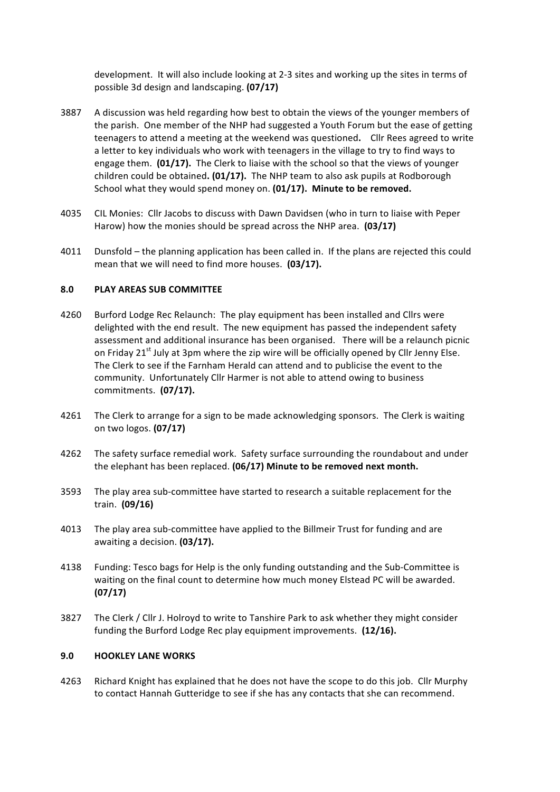development. It will also include looking at 2-3 sites and working up the sites in terms of possible 3d design and landscaping. **(07/17)**

- 3887 A discussion was held regarding how best to obtain the views of the younger members of the parish. One member of the NHP had suggested a Youth Forum but the ease of getting teenagers to attend a meeting at the weekend was questioned. Cllr Rees agreed to write a letter to key individuals who work with teenagers in the village to try to find ways to engage them. **(01/17).** The Clerk to liaise with the school so that the views of younger children could be obtained. (01/17). The NHP team to also ask pupils at Rodborough School what they would spend money on. (01/17). Minute to be removed.
- 4035 CIL Monies: Cllr Jacobs to discuss with Dawn Davidsen (who in turn to liaise with Peper Harow) how the monies should be spread across the NHP area. **(03/17)**
- 4011 Dunsfold the planning application has been called in. If the plans are rejected this could mean that we will need to find more houses. (03/17).

## **8.0 PLAY AREAS SUB COMMITTEE**

- 4260 Burford Lodge Rec Relaunch: The play equipment has been installed and Cllrs were delighted with the end result. The new equipment has passed the independent safety assessment and additional insurance has been organised. There will be a relaunch picnic on Friday  $21^{st}$  July at 3pm where the zip wire will be officially opened by Cllr Jenny Else. The Clerk to see if the Farnham Herald can attend and to publicise the event to the community. Unfortunately Cllr Harmer is not able to attend owing to business commitments. **(07/17).**
- 4261 The Clerk to arrange for a sign to be made acknowledging sponsors. The Clerk is waiting on two logos. **(07/17)**
- 4262 The safety surface remedial work. Safety surface surrounding the roundabout and under the elephant has been replaced. (06/17) Minute to be removed next month.
- 3593 The play area sub-committee have started to research a suitable replacement for the train. **(09/16)**
- 4013 The play area sub-committee have applied to the Billmeir Trust for funding and are awaiting a decision. (03/17).
- 4138 Funding: Tesco bags for Help is the only funding outstanding and the Sub-Committee is waiting on the final count to determine how much money Elstead PC will be awarded. **(07/17)**
- 3827 The Clerk / Cllr J. Holroyd to write to Tanshire Park to ask whether they might consider funding the Burford Lodge Rec play equipment improvements. (12/16).

#### **9.0 HOOKLEY LANE WORKS**

4263 Richard Knight has explained that he does not have the scope to do this job. Cllr Murphy to contact Hannah Gutteridge to see if she has any contacts that she can recommend.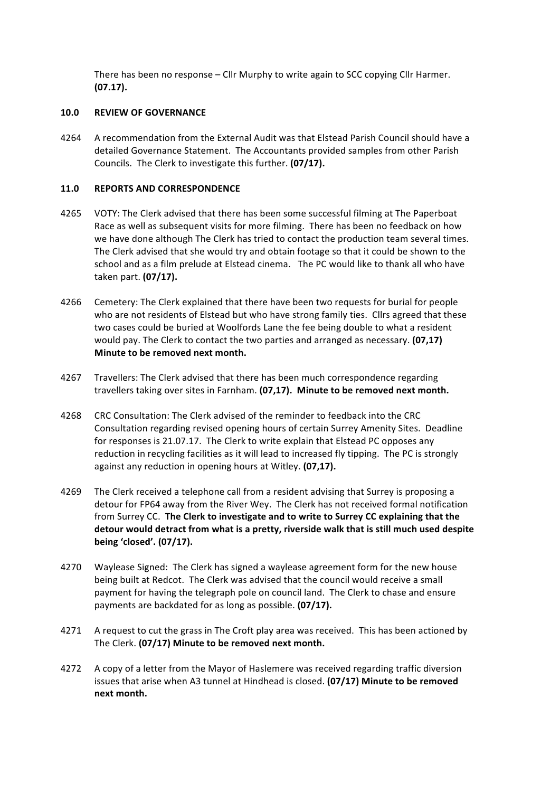There has been no response  $-$  Cllr Murphy to write again to SCC copying Cllr Harmer. **(07.17).**

#### **10.0 REVIEW OF GOVERNANCE**

4264 A recommendation from the External Audit was that Elstead Parish Council should have a detailed Governance Statement. The Accountants provided samples from other Parish Councils. The Clerk to investigate this further. **(07/17).** 

#### 11.0 **REPORTS AND CORRESPONDENCE**

- 4265 VOTY: The Clerk advised that there has been some successful filming at The Paperboat Race as well as subsequent visits for more filming. There has been no feedback on how we have done although The Clerk has tried to contact the production team several times. The Clerk advised that she would try and obtain footage so that it could be shown to the school and as a film prelude at Elstead cinema. The PC would like to thank all who have taken part. **(07/17).**
- 4266 Cemetery: The Clerk explained that there have been two requests for burial for people who are not residents of Elstead but who have strong family ties. Cllrs agreed that these two cases could be buried at Woolfords Lane the fee being double to what a resident would pay. The Clerk to contact the two parties and arranged as necessary. **(07,17) Minute to be removed next month.**
- 4267 Travellers: The Clerk advised that there has been much correspondence regarding travellers taking over sites in Farnham. **(07.17). Minute to be removed next month.**
- 4268 CRC Consultation: The Clerk advised of the reminder to feedback into the CRC Consultation regarding revised opening hours of certain Surrey Amenity Sites. Deadline for responses is 21.07.17. The Clerk to write explain that Elstead PC opposes any reduction in recycling facilities as it will lead to increased fly tipping. The PC is strongly against any reduction in opening hours at Witley. (07,17).
- 4269 The Clerk received a telephone call from a resident advising that Surrey is proposing a detour for FP64 away from the River Wey. The Clerk has not received formal notification from Surrey CC. The Clerk to investigate and to write to Surrey CC explaining that the detour would detract from what is a pretty, riverside walk that is still much used despite **being 'closed'. (07/17).**
- 4270 Waylease Signed: The Clerk has signed a waylease agreement form for the new house being built at Redcot. The Clerk was advised that the council would receive a small payment for having the telegraph pole on council land. The Clerk to chase and ensure payments are backdated for as long as possible. **(07/17).**
- 4271 A request to cut the grass in The Croft play area was received. This has been actioned by The Clerk. (07/17) Minute to be removed next month.
- 4272 A copy of a letter from the Mayor of Haslemere was received regarding traffic diversion issues that arise when A3 tunnel at Hindhead is closed. **(07/17) Minute to be removed next month.**